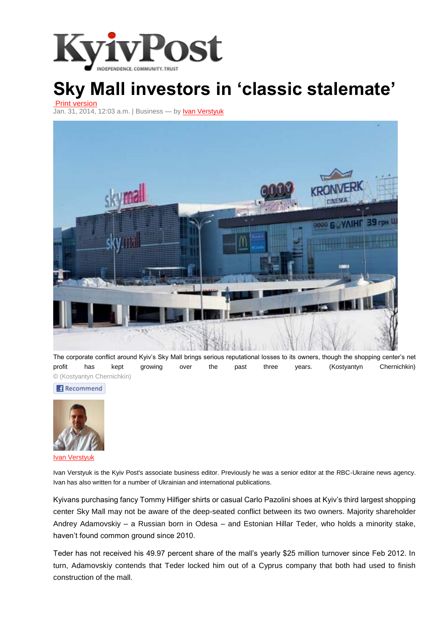

## **Sky Mall investors in 'classic stalemate'**

Print [version](http://www.kyivpost.com/content/business/sky-mall-investors-in-classic-stalemate-335926.html) Jan. 31, 2014, 12:03 a.m. | [Business](http://www.kyivpost.com/content/business/) — by **Ivan [Verstyuk](http://www.kyivpost.com/content/author/ivan-verstyuk-2/)** 



The corporate conflict around Kyiv's Sky Mall brings serious reputational losses to its owners, though the shopping center's net profit has kept growing over the past three years. (Kostyantyn Chernichkin) © (Kostyantyn Chernichkin)

**Recommend** 



Ivan [Verstyuk](http://www.kyivpost.com/content/author/ivan-verstyuk-2/)

Ivan Verstyuk is the Kyiv Post's associate business editor. Previously he was a senior editor at the RBC-Ukraine news agency. Ivan has also written for a number of Ukrainian and international publications.

Kyivans purchasing fancy Tommy Hilfiger shirts or casual Carlo Pazolini shoes at Kyiv's third largest shopping center Sky Mall may not be aware of the deep-seated conflict between its two owners. Majority shareholder Andrey Adamovskiy – a Russian born in Odesa – and Estonian Hillar Teder, who holds a minority stake, haven't found common ground since 2010.

Teder has not received his 49.97 percent share of the mall's yearly \$25 million turnover since Feb 2012. In turn, Adamovskiy contends that Teder locked him out of a Cyprus company that both had used to finish construction of the mall.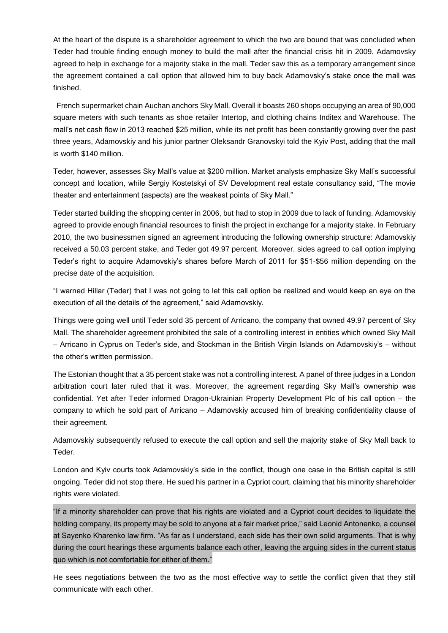At the heart of the dispute is a shareholder agreement to which the two are bound that was concluded when Teder had trouble finding enough money to build the mall after the financial crisis hit in 2009. Adamovsky agreed to help in exchange for a majority stake in the mall. Teder saw this as a temporary arrangement since the agreement contained a call option that allowed him to buy back Adamovsky's stake once the mall was finished.

French supermarket chain Auchan anchors Sky Mall. Overall it boasts 260 shops occupying an area of 90,000 square meters with such tenants as shoe retailer Intertop, and clothing chains Inditex and Warehouse. The mall's net cash flow in 2013 reached \$25 million, while its net profit has been constantly growing over the past three years, Adamovskiy and his junior partner Oleksandr Granovskyi told the Kyiv Post, adding that the mall is worth \$140 million.

Teder, however, assesses Sky Mall's value at \$200 million. Market analysts emphasize Sky Mall's successful concept and location, while Sergiy Kostetskyi of SV Development real estate consultancy said, "The movie theater and entertainment (aspects) are the weakest points of Sky Mall."

Teder started building the shopping center in 2006, but had to stop in 2009 due to lack of funding. Adamovskiy agreed to provide enough financial resources to finish the project in exchange for a majority stake. In February 2010, the two businessmen signed an agreement introducing the following ownership structure: Adamovskiy received a 50.03 percent stake, and Teder got 49.97 percent. Moreover, sides agreed to call option implying Teder's right to acquire Adamovskiy's shares before March of 2011 for \$51-\$56 million depending on the precise date of the acquisition.

"I warned Hillar (Teder) that I was not going to let this call option be realized and would keep an eye on the execution of all the details of the agreement," said Adamovskiy.

Things were going well until Teder sold 35 percent of Arricano, the company that owned 49.97 percent of Sky Mall. The shareholder agreement prohibited the sale of a controlling interest in entities which owned Sky Mall – Arricano in Cyprus on Teder's side, and Stockman in the British Virgin Islands on Adamovskiy's – without the other's written permission.

The Estonian thought that a 35 percent stake was not a controlling interest. A panel of three judges in a London arbitration court later ruled that it was. Moreover, the agreement regarding Sky Mall's ownership was confidential. Yet after Teder informed Dragon-Ukrainian Property Development Plc of his call option – the company to which he sold part of Arricano – Adamovskiy accused him of breaking confidentiality clause of their agreement.

Adamovskiy subsequently refused to execute the call option and sell the majority stake of Sky Mall back to Teder.

London and Kyiv courts took Adamovskiy's side in the conflict, though one case in the British capital is still ongoing. Teder did not stop there. He sued his partner in a Cypriot court, claiming that his minority shareholder rights were violated.

"If a minority shareholder can prove that his rights are violated and a Cypriot court decides to liquidate the holding company, its property may be sold to anyone at a fair market price," said Leonid Antonenko, a counsel at Sayenko Kharenko law firm. "As far as I understand, each side has their own solid arguments. That is why during the court hearings these arguments balance each other, leaving the arguing sides in the current status quo which is not comfortable for either of them."

He sees negotiations between the two as the most effective way to settle the conflict given that they still communicate with each other.